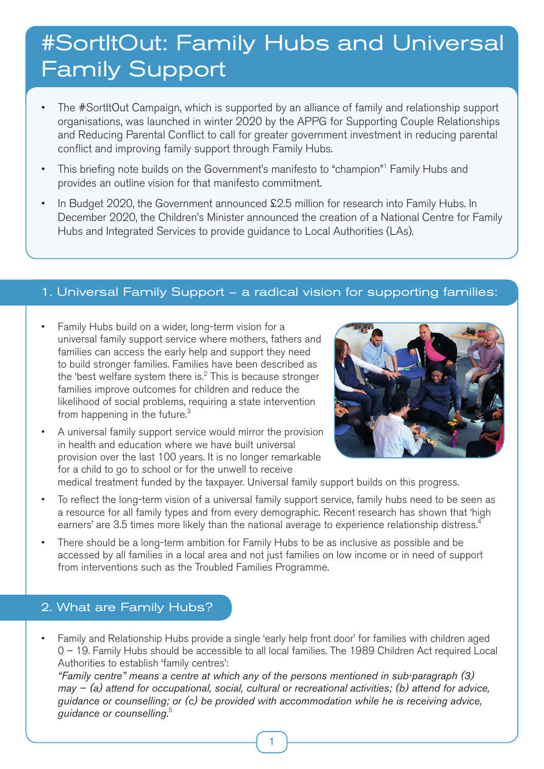# #SortItOut: Family Hubs and Universal Family Support

- The #SortItOut Campaign, which is supported by an alliance of family and relationship support organisations, was launched in winter 2020 by the APPG for Supporting Couple Relationships and Reducing Parental Conflict to call for greater government investment in reducing parental conflict and improving family support through Family Hubs.
- This briefing note builds on the Government's manifesto to "champion"<sup>1</sup> Family Hubs and provides an outline vision for that manifesto commitment.
- In Budget 2020, the Government announced £2.5 million for research into Family Hubs. In December 2020, the Children's Minister announced the creation of a National Centre for Family Hubs and Integrated Services to provide guidance to Local Authorities (LAs).

## 1. Universal Family Support – a radical vision for supporting families:

- Family Hubs build on a wider, long-term vision for a universal family support service where mothers, fathers and families can access the early help and support they need to build stronger families. Families have been described as the 'best welfare system there is. $2$  This is because stronger families improve outcomes for children and reduce the likelihood of social problems, requiring a state intervention from happening in the future. $3$
- A universal family support service would mirror the provision in health and education where we have built universal provision over the last 100 years. It is no longer remarkable for a child to go to school or for the unwell to receive



medical treatment funded by the taxpayer. Universal family support builds on this progress.

- To reflect the long-term vision of a universal family support service, family hubs need to be seen as a resource for all family types and from every demographic. Recent research has shown that 'high earners' are 3.5 times more likely than the national average to experience relationship distress.<sup>4</sup>
- There should be a long-term ambition for Family Hubs to be as inclusive as possible and be accessed by all families in a local area and not just families on low income or in need of support from interventions such as the Troubled Families Programme.

## 2. What are Family Hubs?

• Family and Relationship Hubs provide a single 'early help front door' for families with children aged 0 – 19. Family Hubs should be accessible to all local families. The 1989 Children Act required Local Authorities to establish 'family centres':

*"Family centre" means a centre at which any of the persons mentioned in sub-paragraph (3) may — (a) attend for occupational, social, cultural or recreational activities; (b) attend for advice, guidance or counselling; or (c) be provided with accommodation while he is receiving advice, guidance or counselling.*<sup>5</sup>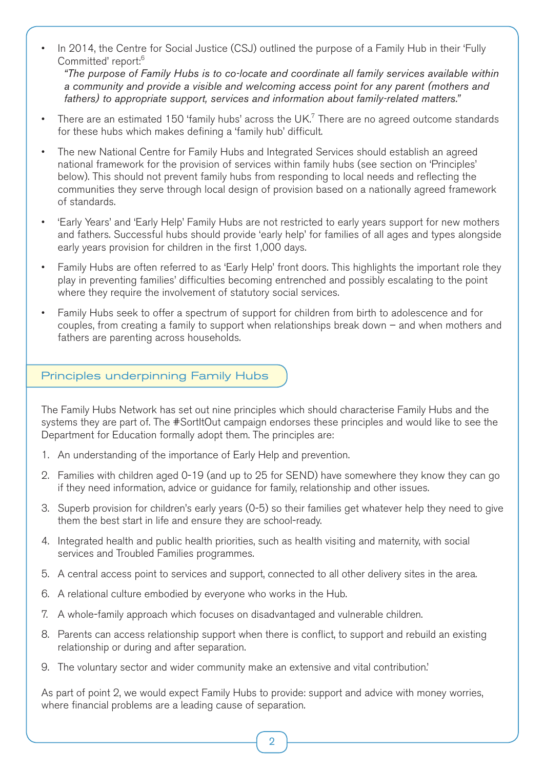• In 2014, the Centre for Social Justice (CSJ) outlined the purpose of a Family Hub in their 'Fully Committed' report:<sup>6</sup>

 *"The purpose of Family Hubs is to co-locate and coordinate all family services available within a community and provide a visible and welcoming access point for any parent (mothers and fathers) to appropriate support, services and information about family-related matters."*

- There are an estimated 150 'family hubs' across the UK.<sup>7</sup> There are no agreed outcome standards for these hubs which makes defining a 'family hub' difficult.
- The new National Centre for Family Hubs and Integrated Services should establish an agreed national framework for the provision of services within family hubs (see section on 'Principles' below). This should not prevent family hubs from responding to local needs and reflecting the communities they serve through local design of provision based on a nationally agreed framework of standards.
- 'Early Years' and 'Early Help' Family Hubs are not restricted to early years support for new mothers and fathers. Successful hubs should provide 'early help' for families of all ages and types alongside early years provision for children in the first 1,000 days.
- Family Hubs are often referred to as 'Early Help' front doors. This highlights the important role they play in preventing families' difficulties becoming entrenched and possibly escalating to the point where they require the involvement of statutory social services.
- Family Hubs seek to offer a spectrum of support for children from birth to adolescence and for couples, from creating a family to support when relationships break down – and when mothers and fathers are parenting across households.

#### Principles underpinning Family Hubs

The Family Hubs Network has set out nine principles which should characterise Family Hubs and the systems they are part of. The #SortItOut campaign endorses these principles and would like to see the Department for Education formally adopt them. The principles are:

- 1. An understanding of the importance of Early Help and prevention.
- 2. Families with children aged 0-19 (and up to 25 for SEND) have somewhere they know they can go if they need information, advice or guidance for family, relationship and other issues.
- 3. Superb provision for children's early years (0-5) so their families get whatever help they need to give them the best start in life and ensure they are school-ready.
- 4. Integrated health and public health priorities, such as health visiting and maternity, with social services and Troubled Families programmes.
- 5. A central access point to services and support, connected to all other delivery sites in the area.
- 6. A relational culture embodied by everyone who works in the Hub.
- 7. A whole-family approach which focuses on disadvantaged and vulnerable children.
- 8. Parents can access relationship support when there is conflict, to support and rebuild an existing relationship or during and after separation.
- 9. The voluntary sector and wider community make an extensive and vital contribution.'

As part of point 2, we would expect Family Hubs to provide: support and advice with money worries, where financial problems are a leading cause of separation.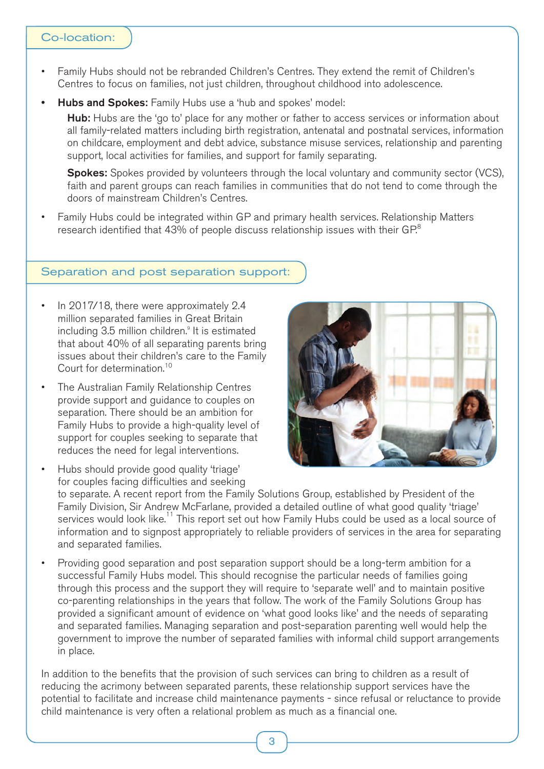#### Co-location:

- Family Hubs should not be rebranded Children's Centres. They extend the remit of Children's Centres to focus on families, not just children, throughout childhood into adolescence.
- Hubs and Spokes: Family Hubs use a 'hub and spokes' model:

Hub: Hubs are the 'go to' place for any mother or father to access services or information about all family-related matters including birth registration, antenatal and postnatal services, information on childcare, employment and debt advice, substance misuse services, relationship and parenting support, local activities for families, and support for family separating.

**Spokes:** Spokes provided by volunteers through the local voluntary and community sector (VCS), faith and parent groups can reach families in communities that do not tend to come through the doors of mainstream Children's Centres.

• Family Hubs could be integrated within GP and primary health services. Relationship Matters research identified that 43% of people discuss relationship issues with their  $GP^8$ 

#### Separation and post separation support:

- In 2017/18, there were approximately 2.4 million separated families in Great Britain including 3.5 million children.<sup>9</sup> It is estimated that about 40% of all separating parents bring issues about their children's care to the Family Court for determination.<sup>10</sup>
- The Australian Family Relationship Centres provide support and guidance to couples on separation. There should be an ambition for Family Hubs to provide a high-quality level of support for couples seeking to separate that reduces the need for legal interventions.
- Hubs should provide good quality 'triage' for couples facing difficulties and seeking to separate. A recent report from the Family Solutions Group, established by President of the Family Division, Sir Andrew McFarlane, provided a detailed outline of what good quality 'triage' services would look like.11 This report set out how Family Hubs could be used as a local source of information and to signpost appropriately to reliable providers of services in the area for separating and separated families.
- Providing good separation and post separation support should be a long-term ambition for a successful Family Hubs model. This should recognise the particular needs of families going through this process and the support they will require to 'separate well' and to maintain positive co-parenting relationships in the years that follow. The work of the Family Solutions Group has provided a significant amount of evidence on 'what good looks like' and the needs of separating and separated families. Managing separation and post-separation parenting well would help the government to improve the number of separated families with informal child support arrangements in place.

In addition to the benefits that the provision of such services can bring to children as a result of reducing the acrimony between separated parents, these relationship support services have the potential to facilitate and increase child maintenance payments - since refusal or reluctance to provide child maintenance is very often a relational problem as much as a financial one.

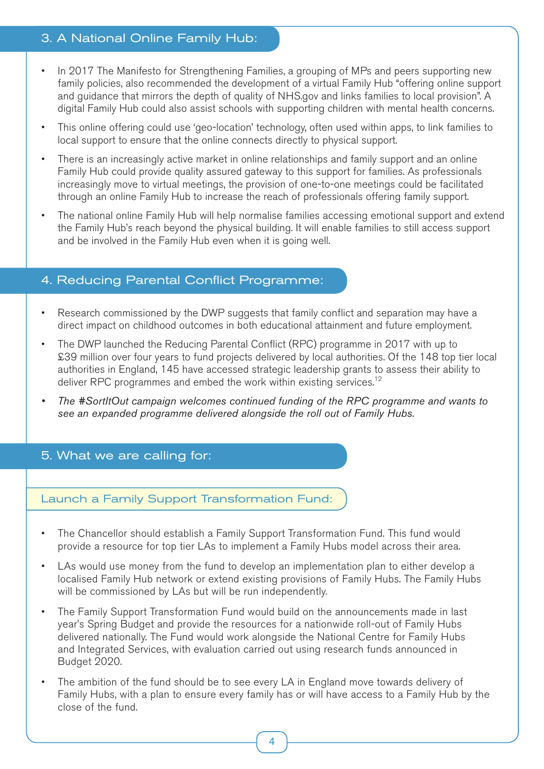# 3. A National Online Family Hub:

- In 2017 The Manifesto for Strengthening Families, a grouping of MPs and peers supporting new family policies, also recommended the development of a virtual Family Hub "offering online support and guidance that mirrors the depth of quality of NHS.gov and links families to local provision". A digital Family Hub could also assist schools with supporting children with mental health concerns.
- This online offering could use 'geo-location' technology, often used within apps, to link families to local support to ensure that the online connects directly to physical support.
- There is an increasingly active market in online relationships and family support and an online Family Hub could provide quality assured gateway to this support for families. As professionals increasingly move to virtual meetings, the provision of one-to-one meetings could be facilitated through an online Family Hub to increase the reach of professionals offering family support.
- The national online Family Hub will help normalise families accessing emotional support and extend the Family Hub's reach beyond the physical building. It will enable families to still access support and be involved in the Family Hub even when it is going well.

## 4. Reducing Parental Conflict Programme:

- Research commissioned by the DWP suggests that family conflict and separation may have a direct impact on childhood outcomes in both educational attainment and future employment.
- The DWP launched the Reducing Parental Conflict (RPC) programme in 2017 with up to £39 million over four years to fund projects delivered by local authorities. Of the 148 top tier local authorities in England, 145 have accessed strategic leadership grants to assess their ability to deliver RPC programmes and embed the work within existing services.<sup>12</sup>
- *• The #SortItOut campaign welcomes continued funding of the RPC programme and wants to see an expanded programme delivered alongside the roll out of Family Hubs.*

## 5. What we are calling for:

## Launch a Family Support Transformation Fund:

- The Chancellor should establish a Family Support Transformation Fund. This fund would provide a resource for top tier LAs to implement a Family Hubs model across their area.
- LAs would use money from the fund to develop an implementation plan to either develop a localised Family Hub network or extend existing provisions of Family Hubs. The Family Hubs will be commissioned by LAs but will be run independently.
- The Family Support Transformation Fund would build on the announcements made in last year's Spring Budget and provide the resources for a nationwide roll-out of Family Hubs delivered nationally. The Fund would work alongside the National Centre for Family Hubs and Integrated Services, with evaluation carried out using research funds announced in Budget 2020.
- The ambition of the fund should be to see every LA in England move towards delivery of Family Hubs, with a plan to ensure every family has or will have access to a Family Hub by the close of the fund.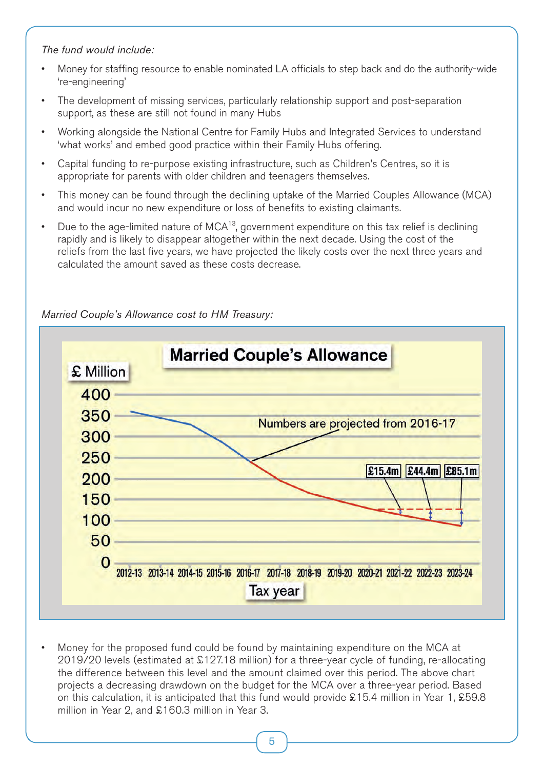#### *The fund would include:*

- Money for staffing resource to enable nominated LA officials to step back and do the authority-wide 're-engineering'
- The development of missing services, particularly relationship support and post-separation support, as these are still not found in many Hubs
- Working alongside the National Centre for Family Hubs and Integrated Services to understand 'what works' and embed good practice within their Family Hubs offering.
- Capital funding to re-purpose existing infrastructure, such as Children's Centres, so it is appropriate for parents with older children and teenagers themselves.
- This money can be found through the declining uptake of the Married Couples Allowance (MCA) and would incur no new expenditure or loss of benefits to existing claimants.
- Due to the age-limited nature of  $MCA^{13}$ , government expenditure on this tax relief is declining rapidly and is likely to disappear altogether within the next decade. Using the cost of the reliefs from the last five years, we have projected the likely costs over the next three years and calculated the amount saved as these costs decrease.



## *Married Couple's Allowance cost to HM Treasury:*

• Money for the proposed fund could be found by maintaining expenditure on the MCA at 2019/20 levels (estimated at £127.18 million) for a three-year cycle of funding, re-allocating the difference between this level and the amount claimed over this period. The above chart projects a decreasing drawdown on the budget for the MCA over a three-year period. Based on this calculation, it is anticipated that this fund would provide £15.4 million in Year 1, £59.8 million in Year 2, and £160.3 million in Year 3.